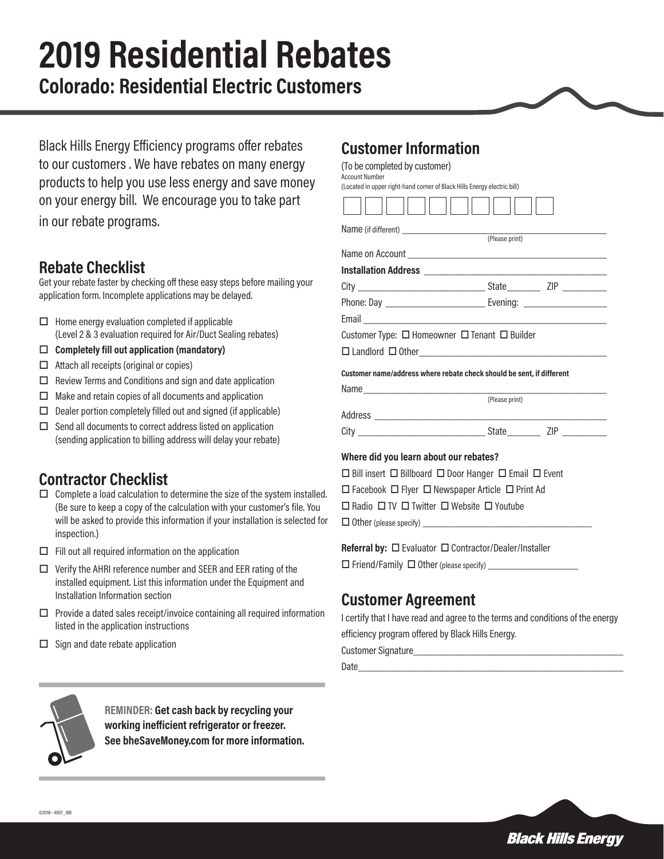# **2019 Residential Rebates**

**Colorado: Residential Electric Customers**

Black Hills Energy Efficiency programs offer rebates to our customers . We have rebates on many energy products to help you use less energy and save money on your energy bill. We encourage you to take part in our rebate programs.

## **Rebate Checklist**

Get your rebate faster by checking off these easy steps before mailing your application form. Incomplete applications may be delayed.

- $\Box$  Home energy evaluation completed if applicable (Level 2 & 3 evaluation required for Air/Duct Sealing rebates)
- □ Completely fill out application (mandatory)
- $\Box$  Attach all receipts (original or copies)
- $\Box$  Review Terms and Conditions and sign and date application
- $\square$  Make and retain copies of all documents and application
- $\square$  Dealer portion completely filled out and signed (if applicable)
- $\Box$  Send all documents to correct address listed on application (sending application to billing address will delay your rebate)

#### **Contractor Checklist**

- $\Box$  Complete a load calculation to determine the size of the system installed. (Be sure to keep a copy of the calculation with your customer's file. You will be asked to provide this information if your installation is selected for inspection.)
- $\Box$  Fill out all required information on the application
- $\Box$  Verify the AHRI reference number and SEER and EER rating of the installed equipment. List this information under the Equipment and Installation Information section
- $\square$  Provide a dated sales receipt/invoice containing all required information listed in the application instructions
- $\Box$  Sign and date rebate application

#### **Customer Information**

(To be completed by customer) Account Number

 $\overline{a}$ 

 $\neg$   $\vdash$ 

(Located in upper right-hand corner of Black Hills Energy electric bill)  $\neg$   $\vdash$ 

пh пr

| Customer Type: $\Box$ Homeowner $\Box$ Tenant $\Box$ Builder                     |                |
|----------------------------------------------------------------------------------|----------------|
| $\Box$ Landlord $\Box$ Other                                                     |                |
| Customer name/address where rebate check should be sent, if different            |                |
|                                                                                  |                |
|                                                                                  | (Please print) |
|                                                                                  |                |
|                                                                                  |                |
| Where did you learn about our rebates?                                           |                |
| $\Box$ Bill insert $\Box$ Billboard $\Box$ Door Hanger $\Box$ Email $\Box$ Event |                |
| $\Box$ Facebook $\Box$ Flyer $\Box$ Newspaper Article $\Box$ Print Ad            |                |

 $\Box$  Radio  $\Box$  TV  $\Box$  Twitter  $\Box$  Website  $\Box$  Youtube

 $\Box$  Other (please specify)  $\Box$ 

#### **Referral by:**  $\Box$  Evaluator  $\Box$  Contractor/Dealer/Installer

 $\square$  Friend/Family  $\square$  Other (please specify)  $\square$ 

#### **Customer Agreement**

I certify that I have read and agree to the terms and conditions of the energy efficiency program offered by Black Hills Energy.

Customer Signature

Date\_\_\_\_\_\_\_\_\_\_\_\_\_\_\_\_\_\_\_\_\_\_\_\_\_\_\_\_\_\_\_\_\_\_\_\_\_\_\_\_\_\_\_\_\_\_\_\_



**REMINDER: Get cash back by recycling your working inefficient refrigerator or freezer. See bheSaveMoney.com for more information.**

**Black Hills Energy**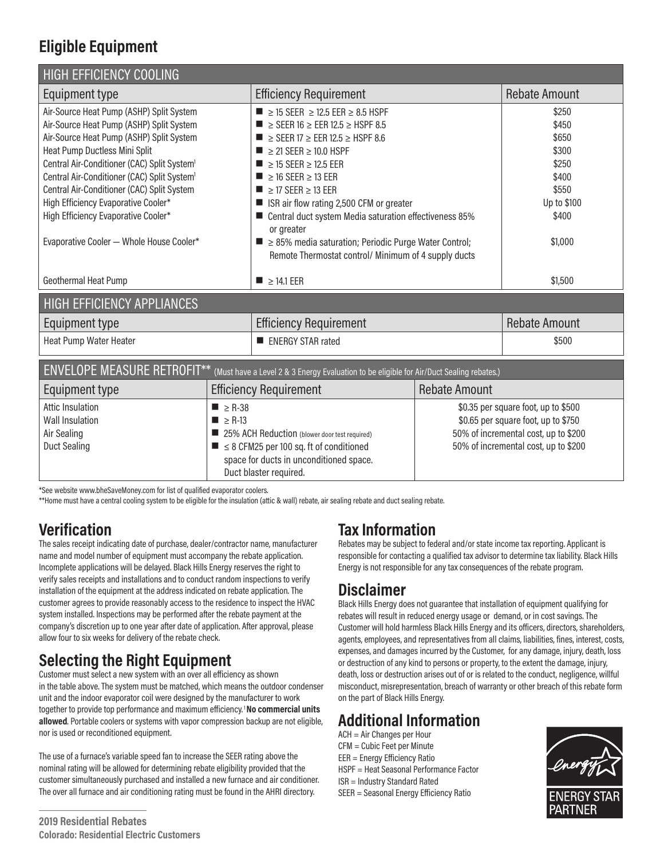## **Eligible Equipment**

| <b>HIGH EFFICIENCY COOLING</b>                                                                                                                                                                                                                                                                                                                                                                                                                                  |                                                          |                                                                                                                                                                                                                                                                                                                                                                                                                                                                                                                                                                                                                                                  |                      |                                                                                                                                                            |  |
|-----------------------------------------------------------------------------------------------------------------------------------------------------------------------------------------------------------------------------------------------------------------------------------------------------------------------------------------------------------------------------------------------------------------------------------------------------------------|----------------------------------------------------------|--------------------------------------------------------------------------------------------------------------------------------------------------------------------------------------------------------------------------------------------------------------------------------------------------------------------------------------------------------------------------------------------------------------------------------------------------------------------------------------------------------------------------------------------------------------------------------------------------------------------------------------------------|----------------------|------------------------------------------------------------------------------------------------------------------------------------------------------------|--|
| Equipment type                                                                                                                                                                                                                                                                                                                                                                                                                                                  |                                                          | <b>Efficiency Requirement</b>                                                                                                                                                                                                                                                                                                                                                                                                                                                                                                                                                                                                                    |                      | <b>Rebate Amount</b>                                                                                                                                       |  |
| Air-Source Heat Pump (ASHP) Split System<br>Air-Source Heat Pump (ASHP) Split System<br>Air-Source Heat Pump (ASHP) Split System<br>Heat Pump Ductless Mini Split<br>Central Air-Conditioner (CAC) Split System <sup>1</sup><br>Central Air-Conditioner (CAC) Split System <sup>1</sup><br>Central Air-Conditioner (CAC) Split System<br>High Efficiency Evaporative Cooler*<br>High Efficiency Evaporative Cooler*<br>Evaporative Cooler - Whole House Cooler* |                                                          | ■ $\geq$ 15 SEER $\geq$ 12.5 EER $\geq$ 8.5 HSPF<br>$\blacksquare$ $\geq$ SEER 16 $\geq$ EER 12.5 $\geq$ HSPF 8.5<br>$\blacksquare$ $\geq$ SEER 17 $\geq$ EER 12.5 $\geq$ HSPF 8.6<br>$\blacksquare$ $\geq$ 21 SEER $\geq$ 10.0 HSPF<br>$\blacksquare$ $\geq$ 15 SEER $\geq$ 12.5 EER<br>$\blacksquare$ $\geq$ 16 SEER $\geq$ 13 EER<br>$\blacksquare$ $\geq$ 17 SEER $\geq$ 13 EER<br>■ ISR air flow rating 2,500 CFM or greater<br>■ Central duct system Media saturation effectiveness 85%<br>or greater<br>$\blacksquare$ $\geq$ 85% media saturation; Periodic Purge Water Control;<br>Remote Thermostat control/ Minimum of 4 supply ducts |                      | \$250<br>\$450<br>\$650<br>\$300<br>\$250<br>\$400<br>\$550<br>Up to \$100<br>\$400<br>\$1,000                                                             |  |
| Geothermal Heat Pump                                                                                                                                                                                                                                                                                                                                                                                                                                            |                                                          | $\blacksquare$ $\geq$ 14.1 EER                                                                                                                                                                                                                                                                                                                                                                                                                                                                                                                                                                                                                   |                      | \$1,500                                                                                                                                                    |  |
| HIGH EFFICIENCY APPLIANCES                                                                                                                                                                                                                                                                                                                                                                                                                                      |                                                          |                                                                                                                                                                                                                                                                                                                                                                                                                                                                                                                                                                                                                                                  |                      |                                                                                                                                                            |  |
| Equipment type                                                                                                                                                                                                                                                                                                                                                                                                                                                  |                                                          | <b>Efficiency Requirement</b>                                                                                                                                                                                                                                                                                                                                                                                                                                                                                                                                                                                                                    |                      | <b>Rebate Amount</b>                                                                                                                                       |  |
| Heat Pump Water Heater                                                                                                                                                                                                                                                                                                                                                                                                                                          |                                                          | <b>ENERGY STAR rated</b>                                                                                                                                                                                                                                                                                                                                                                                                                                                                                                                                                                                                                         |                      | \$500                                                                                                                                                      |  |
| <b>ENVELOPE MEASURE RETROFIT**</b><br>(Must have a Level 2 & 3 Energy Evaluation to be eligible for Air/Duct Sealing rebates.)                                                                                                                                                                                                                                                                                                                                  |                                                          |                                                                                                                                                                                                                                                                                                                                                                                                                                                                                                                                                                                                                                                  |                      |                                                                                                                                                            |  |
| Equipment type                                                                                                                                                                                                                                                                                                                                                                                                                                                  | <b>Efficiency Requirement</b>                            |                                                                                                                                                                                                                                                                                                                                                                                                                                                                                                                                                                                                                                                  | <b>Rebate Amount</b> |                                                                                                                                                            |  |
| <b>Attic Insulation</b><br><b>Wall Insulation</b><br>Air Sealing<br><b>Duct Sealing</b>                                                                                                                                                                                                                                                                                                                                                                         | $\blacksquare$ $\geq$ R-38<br>$\blacksquare$ $\geq$ R-13 | ■ 25% ACH Reduction (blower door test required)<br>$\blacksquare$ $\leq$ 8 CFM25 per 100 sq. ft of conditioned<br>space for ducts in unconditioned space.<br>Duct blaster required.                                                                                                                                                                                                                                                                                                                                                                                                                                                              |                      | \$0.35 per square foot, up to \$500<br>\$0.65 per square foot, up to \$750<br>50% of incremental cost, up to \$200<br>50% of incremental cost, up to \$200 |  |

\*See website www.bheSaveMoney.com for list of qualified evaporator coolers.

\*\*Home must have a central cooling system to be eligible for the insulation (attic & wall) rebate, air sealing rebate and duct sealing rebate.

#### **Verification**

The sales receipt indicating date of purchase, dealer/contractor name, manufacturer name and model number of equipment must accompany the rebate application. Incomplete applications will be delayed. Black Hills Energy reserves the right to verify sales receipts and installations and to conduct random inspections to verify installation of the equipment at the address indicated on rebate application. The customer agrees to provide reasonably access to the residence to inspect the HVAC system installed. Inspections may be performed after the rebate payment at the company's discretion up to one year after date of application. After approval, please allow four to six weeks for delivery of the rebate check.

#### **Selecting the Right Equipment**

Customer must select a new system with an over all efficiency as shown in the table above. The system must be matched, which means the outdoor condenser unit and the indoor evaporator coil were designed by the manufacturer to work together to provide top performance and maximum efficiency. 1 **No commercial units allowed**. Portable coolers or systems with vapor compression backup are not eligible, nor is used or reconditioned equipment.

The use of a furnace's variable speed fan to increase the SEER rating above the nominal rating will be allowed for determining rebate eligibility provided that the customer simultaneously purchased and installed a new furnace and air conditioner. The over all furnace and air conditioning rating must be found in the AHRI directory.

#### **Tax Information**

Rebates may be subject to federal and/or state income tax reporting. Applicant is responsible for contacting a qualified tax advisor to determine tax liability. Black Hills Energy is not responsible for any tax consequences of the rebate program.

#### **Disclaimer**

Black Hills Energy does not guarantee that installation of equipment qualifying for rebates will result in reduced energy usage or demand, or in cost savings. The Customer will hold harmless Black Hills Energy and its officers, directors, shareholders, agents, employees, and representatives from all claims, liabilities, fines, interest, costs, expenses, and damages incurred by the Customer, for any damage, injury, death, loss or destruction of any kind to persons or property, to the extent the damage, injury, death, loss or destruction arises out of or is related to the conduct, negligence, willful misconduct, misrepresentation, breach of warranty or other breach of this rebate form on the part of Black Hills Energy.

## **Additional Information**

ACH = Air Changes per Hour CFM = Cubic Feet per Minute EER = Energy Efficiency Ratio

- HSPF = Heat Seasonal Performance Factor
- ISR = Industry Standard Rated
- SEER = Seasonal Energy Efficiency Ratio

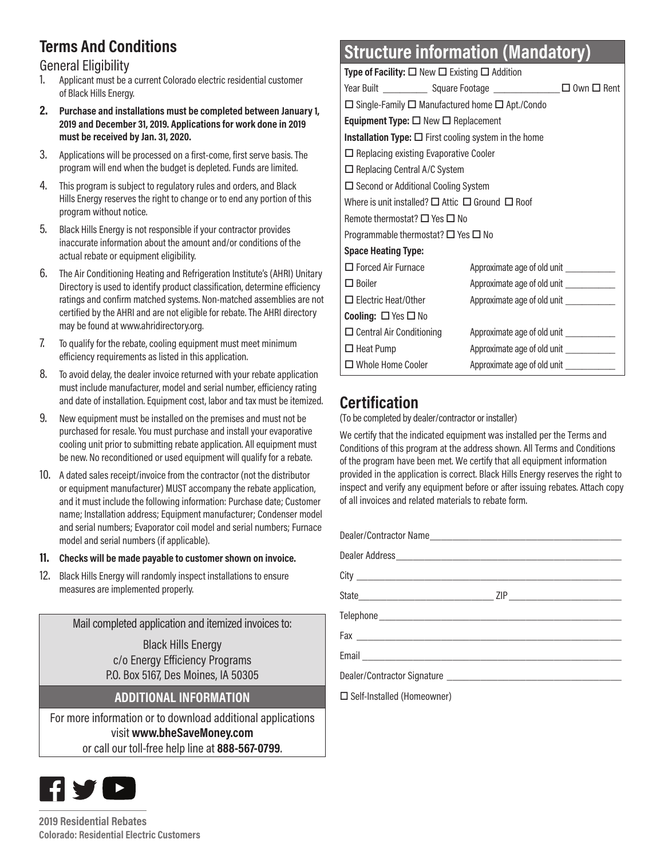## **Terms And Conditions**

#### General Eligibility

- 1. Applicant must be a current Colorado electric residential customer of Black Hills Energy.
- **2. Purchase and installations must be completed between January 1, 2019 and December 31, 2019. Applications for work done in 2019 must be received by Jan. 31, 2020.**
- 3. Applications will be processed on a first-come, first serve basis. The program will end when the budget is depleted. Funds are limited.
- 4. This program is subject to regulatory rules and orders, and Black Hills Energy reserves the right to change or to end any portion of this program without notice.
- 5. Black Hills Energy is not responsible if your contractor provides inaccurate information about the amount and/or conditions of the actual rebate or equipment eligibility.
- 6. The Air Conditioning Heating and Refrigeration Institute's (AHRI) Unitary Directory is used to identify product classification, determine efficiency ratings and confirm matched systems. Non-matched assemblies are not certified by the AHRI and are not eligible for rebate. The AHRI directory may be found at www.ahridirectory.org.
- 7. To qualify for the rebate, cooling equipment must meet minimum efficiency requirements as listed in this application.
- 8. To avoid delay, the dealer invoice returned with your rebate application must include manufacturer, model and serial number, efficiency rating and date of installation. Equipment cost, labor and tax must be itemized.
- 9. New equipment must be installed on the premises and must not be purchased for resale. You must purchase and install your evaporative cooling unit prior to submitting rebate application. All equipment must be new. No reconditioned or used equipment will qualify for a rebate.
- 10. A dated sales receipt/invoice from the contractor (not the distributor or equipment manufacturer) MUST accompany the rebate application, and it must include the following information: Purchase date; Customer name; Installation address; Equipment manufacturer; Condenser model and serial numbers; Evaporator coil model and serial numbers; Furnace model and serial numbers (if applicable).

#### **11. Checks will be made payable to customer shown on invoice.**

12. Black Hills Energy will randomly inspect installations to ensure measures are implemented properly.

Mail completed application and itemized invoices to:

Black Hills Energy c/o Energy Efficiency Programs P.O. Box 5167, Des Moines, IA 50305

#### **ADDITIONAL INFORMATION**

For more information or to download additional applications visit **www.bheSaveMoney.com**  or call our toll-free help line at **888-567-0799**.



# **Structure information (Mandatory)**

| <b>Type of Facility:</b> $\Box$ New $\Box$ Existing $\Box$ Addition                                                  |                                           |  |
|----------------------------------------------------------------------------------------------------------------------|-------------------------------------------|--|
| Year Built <b>Mark Contact Contact Contact Contact Contact Contact Contact Contact Contact Contact Contact Conta</b> |                                           |  |
| $\Box$ Single-Family $\Box$ Manufactured home $\Box$ Apt./Condo                                                      |                                           |  |
| <b>Equipment Type:</b> $\Box$ New $\Box$ Replacement                                                                 |                                           |  |
| <b>Installation Type:</b> $\Box$ First cooling system in the home                                                    |                                           |  |
| $\Box$ Replacing existing Evaporative Cooler                                                                         |                                           |  |
| $\Box$ Replacing Central A/C System                                                                                  |                                           |  |
| $\Box$ Second or Additional Cooling System                                                                           |                                           |  |
| Where is unit installed? $\Box$ Attic $\Box$ Ground $\Box$ Roof                                                      |                                           |  |
| Remote thermostat? $\square$ Yes $\square$ No                                                                        |                                           |  |
| Programmable thermostat? $\Box$ Yes $\Box$ No                                                                        |                                           |  |
| <b>Space Heating Type:</b>                                                                                           |                                           |  |
| $\Box$ Forced Air Furnace                                                                                            | Approximate age of old unit _____________ |  |
| $\Box$ Boiler                                                                                                        | Approximate age of old unit ____________  |  |
| $\Box$ Electric Heat/Other                                                                                           | Approximate age of old unit ____________  |  |
| <b>Cooling:</b> $\Box$ Yes $\Box$ No                                                                                 |                                           |  |
| $\Box$ Central Air Conditioning                                                                                      | Approximate age of old unit ____________  |  |
| $\Box$ Heat Pump                                                                                                     | Approximate age of old unit ____________  |  |
| $\Box$ Whole Home Cooler                                                                                             | Approximate age of old unit ____________  |  |

## **Certification**

(To be completed by dealer/contractor or installer)

We certify that the indicated equipment was installed per the Terms and Conditions of this program at the address shown. All Terms and Conditions of the program have been met. We certify that all equipment information provided in the application is correct. Black Hills Energy reserves the right to inspect and verify any equipment before or after issuing rebates. Attach copy of all invoices and related materials to rebate form.

| □ Self-Installed (Homeowner) |  |
|------------------------------|--|